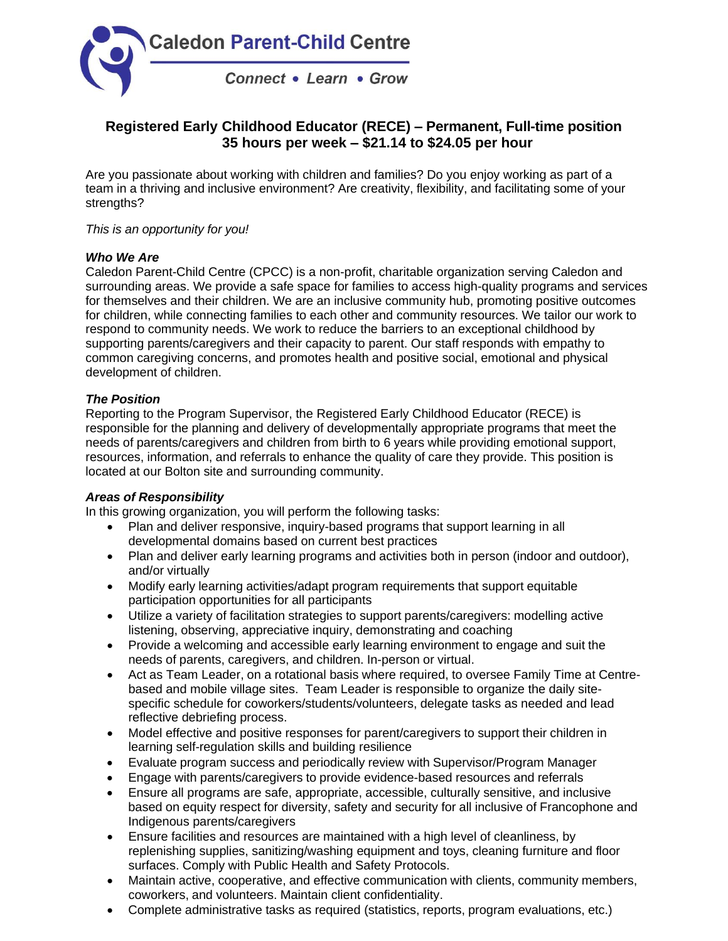

# **Registered Early Childhood Educator (RECE) – Permanent, Full-time position 35 hours per week – \$21.14 to \$24.05 per hour**

Are you passionate about working with children and families? Do you enjoy working as part of a team in a thriving and inclusive environment? Are creativity, flexibility, and facilitating some of your strengths?

### *This is an opportunity for you!*

#### *Who We Are*

Caledon Parent-Child Centre (CPCC) is a non-profit, charitable organization serving Caledon and surrounding areas. We provide a safe space for families to access high-quality programs and services for themselves and their children. We are an inclusive community hub, promoting positive outcomes for children, while connecting families to each other and community resources. We tailor our work to respond to community needs. We work to reduce the barriers to an exceptional childhood by supporting parents/caregivers and their capacity to parent. Our staff responds with empathy to common caregiving concerns, and promotes health and positive social, emotional and physical development of children.

#### *The Position*

Reporting to the Program Supervisor, the Registered Early Childhood Educator (RECE) is responsible for the planning and delivery of developmentally appropriate programs that meet the needs of parents/caregivers and children from birth to 6 years while providing emotional support, resources, information, and referrals to enhance the quality of care they provide. This position is located at our Bolton site and surrounding community.

#### *Areas of Responsibility*

In this growing organization, you will perform the following tasks:

- Plan and deliver responsive, inquiry-based programs that support learning in all developmental domains based on current best practices
- Plan and deliver early learning programs and activities both in person (indoor and outdoor), and/or virtually
- Modify early learning activities/adapt program requirements that support equitable participation opportunities for all participants
- Utilize a variety of facilitation strategies to support parents/caregivers: modelling active listening, observing, appreciative inquiry, demonstrating and coaching
- Provide a welcoming and accessible early learning environment to engage and suit the needs of parents, caregivers, and children. In-person or virtual.
- Act as Team Leader, on a rotational basis where required, to oversee Family Time at Centrebased and mobile village sites. Team Leader is responsible to organize the daily sitespecific schedule for coworkers/students/volunteers, delegate tasks as needed and lead reflective debriefing process.
- Model effective and positive responses for parent/caregivers to support their children in learning self-regulation skills and building resilience
- Evaluate program success and periodically review with Supervisor/Program Manager
- Engage with parents/caregivers to provide evidence-based resources and referrals
- Ensure all programs are safe, appropriate, accessible, culturally sensitive, and inclusive based on equity respect for diversity, safety and security for all inclusive of Francophone and Indigenous parents/caregivers
- Ensure facilities and resources are maintained with a high level of cleanliness, by replenishing supplies, sanitizing/washing equipment and toys, cleaning furniture and floor surfaces. Comply with Public Health and Safety Protocols.
- Maintain active, cooperative, and effective communication with clients, community members, coworkers, and volunteers. Maintain client confidentiality.
- Complete administrative tasks as required (statistics, reports, program evaluations, etc.)